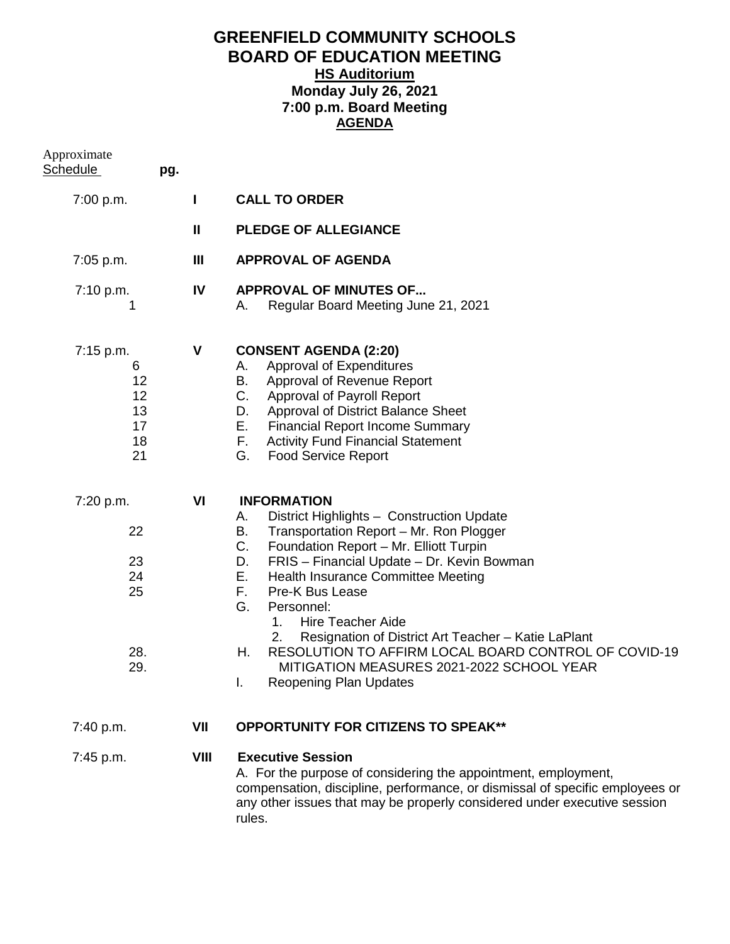## **GREENFIELD COMMUNITY SCHOOLS BOARD OF EDUCATION MEETING HS Auditorium Monday July 26, 2021 7:00 p.m. Board Meeting AGENDA**

| Approximate<br><u>Schedule</u>                     | pg.  |                                                                                                                                                                                                                                                                                                                                                                                                                                                                                                                                                                |
|----------------------------------------------------|------|----------------------------------------------------------------------------------------------------------------------------------------------------------------------------------------------------------------------------------------------------------------------------------------------------------------------------------------------------------------------------------------------------------------------------------------------------------------------------------------------------------------------------------------------------------------|
| 7:00 p.m.                                          | L    | <b>CALL TO ORDER</b>                                                                                                                                                                                                                                                                                                                                                                                                                                                                                                                                           |
|                                                    | Ш    | <b>PLEDGE OF ALLEGIANCE</b>                                                                                                                                                                                                                                                                                                                                                                                                                                                                                                                                    |
| 7:05 p.m.                                          | Ш    | <b>APPROVAL OF AGENDA</b>                                                                                                                                                                                                                                                                                                                                                                                                                                                                                                                                      |
| 7:10 p.m.<br>1                                     | IV   | <b>APPROVAL OF MINUTES OF</b><br>Regular Board Meeting June 21, 2021<br>А.                                                                                                                                                                                                                                                                                                                                                                                                                                                                                     |
| 7:15 p.m.<br>6<br>12<br>12<br>13<br>17<br>18<br>21 | V    | <b>CONSENT AGENDA (2:20)</b><br><b>Approval of Expenditures</b><br>А.<br>Approval of Revenue Report<br>В.<br>C.<br>Approval of Payroll Report<br>Approval of District Balance Sheet<br>D.<br><b>Financial Report Income Summary</b><br>Е.<br>F.<br><b>Activity Fund Financial Statement</b><br>G.<br><b>Food Service Report</b>                                                                                                                                                                                                                                |
| 7:20 p.m.<br>22<br>23<br>24<br>25<br>28.<br>29.    | VI   | <b>INFORMATION</b><br>District Highlights - Construction Update<br>А.<br>В.<br>Transportation Report - Mr. Ron Plogger<br>C.<br>Foundation Report - Mr. Elliott Turpin<br>FRIS - Financial Update - Dr. Kevin Bowman<br>D.<br>Е.<br>Health Insurance Committee Meeting<br>F.<br><b>Pre-K Bus Lease</b><br>G.<br>Personnel:<br>Hire Teacher Aide<br>1.<br>Resignation of District Art Teacher - Katie LaPlant<br>2.<br>RESOLUTION TO AFFIRM LOCAL BOARD CONTROL OF COVID-19<br>Н.<br>MITIGATION MEASURES 2021-2022 SCHOOL YEAR<br><b>Reopening Plan Updates</b> |
| 7:40 p.m.                                          | VII  | <b>OPPORTUNITY FOR CITIZENS TO SPEAK**</b>                                                                                                                                                                                                                                                                                                                                                                                                                                                                                                                     |
| 7:45 p.m.                                          | VIII | <b>Executive Session</b><br>A. For the purpose of considering the appointment, employment,<br>compensation, discipline, performance, or dismissal of specific employees or<br>any other issues that may be properly considered under executive session<br>rules.                                                                                                                                                                                                                                                                                               |